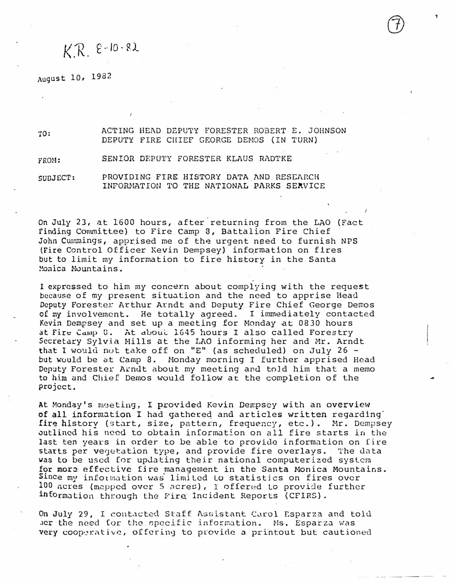## $K$   $R$   $e$  -10  $\cdot$  82.

August 10, 1982

ro:

ACTING HEAD DEPUTY FORESTER.ROBERT E. JOHNSON DEPUTY FIRE CHIEF GEORGE DENOS (IN TURN)

FROH: SENIOR DEPUTY FORESTER KLAUS RADTKE

SUBJECT: PROVIDING FIRE HISTORY DATA AND RESEARCH INFORMATION TO THE NATIONAL PARKS SERVICE

on July 23, at 1600 hours, after.returning from the LAO (Fact Finding Committee) to Fire Camp 3, Battalion Fire Chief John Cummings, apprised me of the urgent need to furnish NPS (Fire Control Officer Kevin Dempsey) infqrmation on fires but to limit my information to fire history in the Santa Monica Mountains.

I expressed to him my concern about complying with the request because of my present situation and the need to apprise Head Deputy Forester Arthur Arndt and Deputy Fire Chief George Demos of my involvement. He totally agreed. I immediately contacted Kevin Dempsey and set up a meeting for Monday at 0830 hours at Fire Camp 8. At about 1645 hours I also called Forestry Secretary Sylvia Nills at the LAO informing her and Mr. Arndt that I would not take off on "E" (as scheduled) on July 26 but would be at Camp 8. Monday morning I further apprised Head Deputy Forester Arndt about my meeting and told him that a memo to him and Chief Demos would follow at the completion of the project.

At Monday's meeting, I provided Kevin Dempsey with an overview of all inform�tion I had gathered and articles written regarding' fire history (start, size, pattern, frequency, etc.). Mr. Dempsey outlined his need to obtain information on all fire starts in the last ten years in order to be able to provide information on fire starts per vegetation type, and provide fire overlays. The data was to be used for updating their national computerized system for more effective fire management in the Santa Monica Mountains. Since my information was limited to statistics on fires over �00 ncres (m2ppcd over 5 acres), I offered to provide further information through the Fire Incident Reports (CFIRS).

On July 29, I contacted Staff Assistant Carol Esparza and told Jer the need for the specific information. Ms. Esparza was very cooperative, offering to provide a printout but cautioned